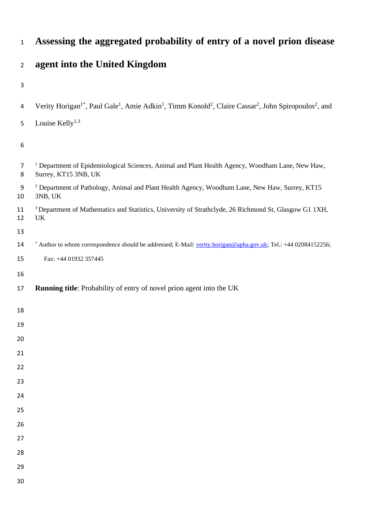# **agent into the United Kingdom** 4 Verity Horigan<sup>1\*</sup>, Paul Gale<sup>1</sup>, Amie Adkin<sup>1</sup>, Timm Konold<sup>2</sup>, Claire Cassar<sup>2</sup>, John Spiropoulos<sup>2</sup>, and 5 Louise Kelly $^{1,3}$  <sup>1</sup> Department of Epidemiological Sciences, Animal and Plant Health Agency, Woodham Lane, New Haw, Surrey, KT15 3NB, UK <sup>2</sup> Department of Pathology, Animal and Plant Health Agency, Woodham Lane, New Haw, Surrey, KT15 3NB, UK 11 <sup>3</sup> Department of Mathematics and Statistics, University of Strathclyde, 26 Richmond St, Glasgow G1 1XH, UK 14 \* Author to whom correspondence should be addressed; E-Mail[: verity.horigan@apha.gov.uk;](mailto:verity.horigan@apha.gov.uk) Tel.: +44 02084152256; Fax: +44 01932 357445 **Running title**: Probability of entry of novel prion agent into the UK

**Assessing the aggregated probability of entry of a novel prion disease**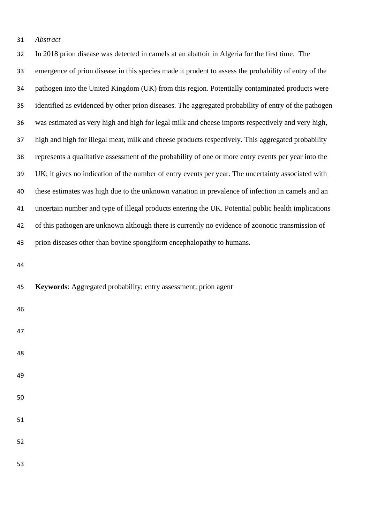*Abstract*

 In 2018 prion disease was detected in camels at an abattoir in Algeria for the first time. The emergence of prion disease in this species made it prudent to assess the probability of entry of the pathogen into the United Kingdom (UK) from this region. Potentially contaminated products were identified as evidenced by other prion diseases. The aggregated probability of entry of the pathogen was estimated as very high and high for legal milk and cheese imports respectively and very high, high and high for illegal meat, milk and cheese products respectively. This aggregated probability represents a qualitative assessment of the probability of one or more entry events per year into the UK; it gives no indication of the number of entry events per year. The uncertainty associated with these estimates was high due to the unknown variation in prevalence of infection in camels and an uncertain number and type of illegal products entering the UK. Potential public health implications of this pathogen are unknown although there is currently no evidence of zoonotic transmission of prion diseases other than bovine spongiform encephalopathy to humans.

**Keywords**: Aggregated probability; entry assessment; prion agent

- 
- 
- 
- 
- 
- 
-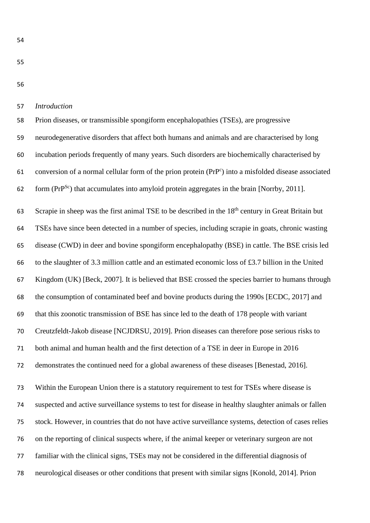#### *Introduction*

 Prion diseases, or transmissible spongiform encephalopathies (TSEs), are progressive neurodegenerative disorders that affect both humans and animals and are characterised by long incubation periods frequently of many years. Such disorders are biochemically characterised by 61 conversion of a normal cellular form of the prion protein (PrP<sup>c</sup>) into a misfolded disease associated 62 form ( $PrP^{Sc}$ ) that accumulates into amyloid protein aggregates in the brain [Norrby, 2011].

63 Scrapie in sheep was the first animal TSE to be described in the 18<sup>th</sup> century in Great Britain but TSEs have since been detected in a number of species, including scrapie in goats, chronic wasting disease (CWD) in deer and bovine spongiform encephalopathy (BSE) in cattle. The BSE crisis led to the slaughter of 3.3 million cattle and an estimated economic loss of £3.7 billion in the United Kingdom (UK) [Beck, 2007]. It is believed that BSE crossed the species barrier to humans through the consumption of contaminated beef and bovine products during the 1990s [ECDC, 2017] and that this zoonotic transmission of BSE has since led to the death of 178 people with variant Creutzfeldt-Jakob disease [NCJDRSU, 2019]. Prion diseases can therefore pose serious risks to both animal and human health and the first detection of a TSE in deer in Europe in 2016 demonstrates the continued need for a global awareness of these diseases [Benestad, 2016]. Within the European Union there is a statutory requirement to test for TSEs where disease is suspected and active surveillance systems to test for disease in healthy slaughter animals or fallen stock. However, in countries that do not have active surveillance systems, detection of cases relies

on the reporting of clinical suspects where, if the animal keeper or veterinary surgeon are not

familiar with the clinical signs, TSEs may not be considered in the differential diagnosis of

neurological diseases or other conditions that present with similar signs [Konold, 2014]. Prion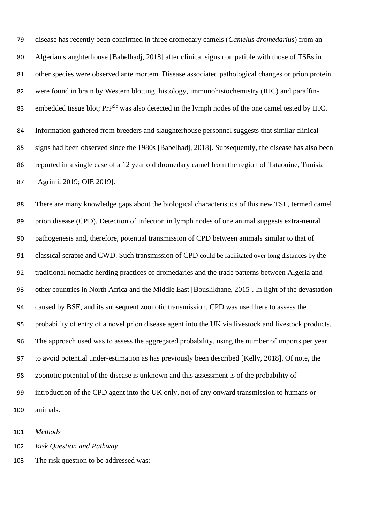disease has recently been confirmed in three dromedary camels (*Camelus dromedarius*) from an Algerian slaughterhouse [Babelhadj, 2018] after clinical signs compatible with those of TSEs in other species were observed ante mortem. Disease associated pathological changes or prion protein were found in brain by Western blotting, histology, immunohistochemistry (IHC) and paraffin-83 embedded tissue blot;  $Pr^{Sc}$  was also detected in the lymph nodes of the one camel tested by IHC. Information gathered from breeders and slaughterhouse personnel suggests that similar clinical signs had been observed since the 1980s [Babelhadj, 2018]. Subsequently, the disease has also been reported in a single case of a 12 year old dromedary camel from the region of Tataouine, Tunisia [Agrimi, 2019; OIE 2019].

 There are many knowledge gaps about the biological characteristics of this new TSE, termed camel prion disease (CPD). Detection of infection in lymph nodes of one animal suggests extra-neural pathogenesis and, therefore, potential transmission of CPD between animals similar to that of classical scrapie and CWD. Such transmission of CPD could be facilitated over long distances by the traditional nomadic herding practices of dromedaries and the trade patterns between Algeria and other countries in North Africa and the Middle East [Bouslikhane, 2015]. In light of the devastation caused by BSE, and its subsequent zoonotic transmission, CPD was used here to assess the probability of entry of a novel prion disease agent into the UK via livestock and livestock products. The approach used was to assess the aggregated probability, using the number of imports per year to avoid potential under-estimation as has previously been described [Kelly, 2018]. Of note, the zoonotic potential of the disease is unknown and this assessment is of the probability of introduction of the CPD agent into the UK only, not of any onward transmission to humans or animals.

*Methods*

*Risk Question and Pathway*

The risk question to be addressed was: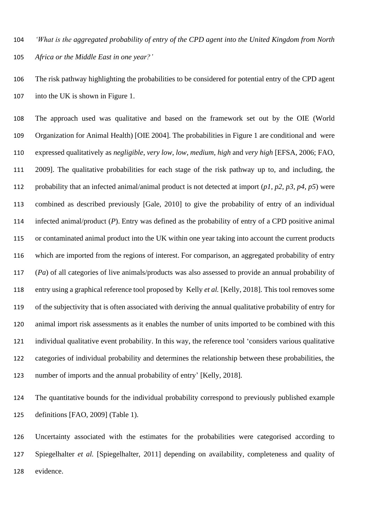*'What is the aggregated probability of entry of the CPD agent into the United Kingdom from North Africa or the Middle East in one year?'*

 The risk pathway highlighting the probabilities to be considered for potential entry of the CPD agent into the UK is shown in Figure 1.

 The approach used was qualitative and based on the framework set out by the OIE (World Organization for Animal Health) [OIE 2004]. The probabilities in Figure 1 are conditional and were expressed qualitatively as *negligible*, *very low*, *low*, *medium*, *high* and *very high* [EFSA, 2006; FAO, 2009]. The qualitative probabilities for each stage of the risk pathway up to, and including, the probability that an infected animal/animal product is not detected at import (*p1, p2, p3, p4, p5*) were combined as described previously [Gale, 2010] to give the probability of entry of an individual infected animal/product (*P*). Entry was defined as the probability of entry of a CPD positive animal or contaminated animal product into the UK within one year taking into account the current products which are imported from the regions of interest. For comparison, an aggregated probability of entry (*Pa*) of all categories of live animals/products was also assessed to provide an annual probability of entry using a graphical reference tool proposed by Kelly *et al.* [Kelly, 2018]. This tool removes some of the subjectivity that is often associated with deriving the annual qualitative probability of entry for animal import risk assessments as it enables the number of units imported to be combined with this individual qualitative event probability. In this way, the reference tool 'considers various qualitative categories of individual probability and determines the relationship between these probabilities, the number of imports and the annual probability of entry' [Kelly, 2018].

 The quantitative bounds for the individual probability correspond to previously published example definitions [FAO, 2009] (Table 1).

 Uncertainty associated with the estimates for the probabilities were categorised according to Spiegelhalter *et al.* [Spiegelhalter, 2011] depending on availability, completeness and quality of evidence.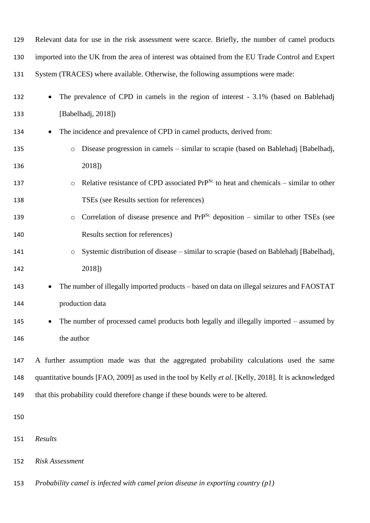| 129 | Relevant data for use in the risk assessment were scarce. Briefly, the number of camel products        |
|-----|--------------------------------------------------------------------------------------------------------|
| 130 | imported into the UK from the area of interest was obtained from the EU Trade Control and Expert       |
| 131 | System (TRACES) where available. Otherwise, the following assumptions were made:                       |
| 132 | The prevalence of CPD in camels in the region of interest - 3.1% (based on Bablehadj                   |
| 133 | [Babelhadj, 2018])                                                                                     |
| 134 | The incidence and prevalence of CPD in camel products, derived from:<br>$\bullet$                      |
| 135 | Disease progression in camels – similar to scrapie (based on Bablehadj [Babelhadj,<br>$\circ$          |
| 136 | 2018])                                                                                                 |
| 137 | Relative resistance of CPD associated $PrP^{Sc}$ to heat and chemicals – similar to other<br>$\circ$   |
| 138 | TSEs (see Results section for references)                                                              |
| 139 | Correlation of disease presence and $PrP^{Sc}$ deposition – similar to other TSEs (see<br>$\circ$      |
| 140 | Results section for references)                                                                        |
| 141 | Systemic distribution of disease – similar to scrapie (based on Bablehadj [Babelhadj,<br>$\circ$       |
| 142 | 2018])                                                                                                 |
| 143 | The number of illegally imported products – based on data on illegal seizures and FAOSTAT<br>$\bullet$ |
| 144 | production data                                                                                        |
| 145 | The number of processed camel products both legally and illegally imported $-$ assumed by              |
| 146 | the author                                                                                             |
| 147 | A further assumption made was that the aggregated probability calculations used the same               |
| 148 | quantitative bounds [FAO, 2009] as used in the tool by Kelly et al. [Kelly, 2018]. It is acknowledged  |
| 149 | that this probability could therefore change if these bounds were to be altered.                       |
| 150 |                                                                                                        |
| 151 | Results                                                                                                |
| 152 | <b>Risk Assessment</b>                                                                                 |

*Probability camel is infected with camel prion disease in exporting country (p1)*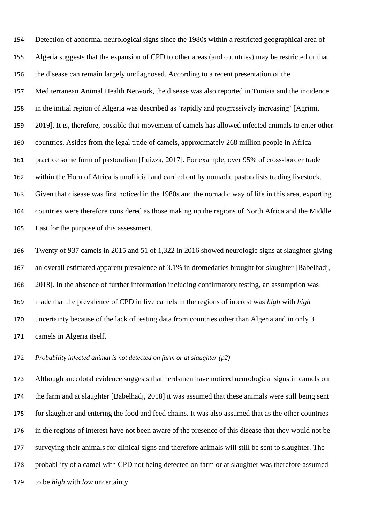Detection of abnormal neurological signs since the 1980s within a restricted geographical area of Algeria suggests that the expansion of CPD to other areas (and countries) may be restricted or that the disease can remain largely undiagnosed. According to a recent presentation of the Mediterranean Animal Health Network, the disease was also reported in Tunisia and the incidence in the initial region of Algeria was described as 'rapidly and progressively increasing' [Agrimi, 2019]. It is, therefore, possible that movement of camels has allowed infected animals to enter other countries. Asides from the legal trade of camels, approximately 268 million people in Africa practice some form of pastoralism [Luizza, 2017]. For example, over 95% of cross-border trade within the Horn of Africa is unofficial and carried out by nomadic pastoralists trading livestock. Given that disease was first noticed in the 1980s and the nomadic way of life in this area, exporting countries were therefore considered as those making up the regions of North Africa and the Middle East for the purpose of this assessment.

 Twenty of 937 camels in 2015 and 51 of 1,322 in 2016 showed neurologic signs at slaughter giving an overall estimated apparent prevalence of 3.1% in dromedaries brought for slaughter [Babelhadj, 2018]. In the absence of further information including confirmatory testing, an assumption was made that the prevalence of CPD in live camels in the regions of interest was *high* with *high* uncertainty because of the lack of testing data from countries other than Algeria and in only 3 camels in Algeria itself.

*Probability infected animal is not detected on farm or at slaughter (p2)*

 Although anecdotal evidence suggests that herdsmen have noticed neurological signs in camels on the farm and at slaughter [Babelhadj, 2018] it was assumed that these animals were still being sent for slaughter and entering the food and feed chains. It was also assumed that as the other countries in the regions of interest have not been aware of the presence of this disease that they would not be surveying their animals for clinical signs and therefore animals will still be sent to slaughter. The probability of a camel with CPD not being detected on farm or at slaughter was therefore assumed to be *high* with *low* uncertainty.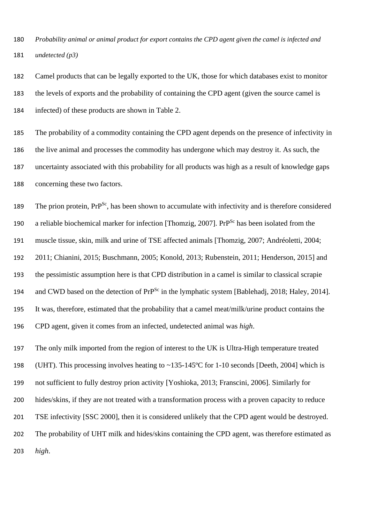*Probability animal or animal product for export contains the CPD agent given the camel is infected and undetected (p3)*

 Camel products that can be legally exported to the UK, those for which databases exist to monitor the levels of exports and the probability of containing the CPD agent (given the source camel is infected) of these products are shown in Table 2.

 The probability of a commodity containing the CPD agent depends on the presence of infectivity in the live animal and processes the commodity has undergone which may destroy it. As such, the uncertainty associated with this probability for all products was high as a result of knowledge gaps concerning these two factors.

189 The prion protein,  $Pr^{Sc}$ , has been shown to accumulate with infectivity and is therefore considered 190 a reliable biochemical marker for infection [Thomzig, 2007]. PrP<sup>Sc</sup> has been isolated from the muscle tissue, skin, milk and urine of TSE affected animals [Thomzig, 2007; Andréoletti, 2004; 2011; Chianini, 2015; Buschmann, 2005; Konold, 2013; Rubenstein, 2011; Henderson, 2015] and the pessimistic assumption here is that CPD distribution in a camel is similar to classical scrapie and CWD based on the detection of PrP<sup>Sc</sup> in the lymphatic system [Bablehadj, 2018; Haley, 2014]. It was, therefore, estimated that the probability that a camel meat/milk/urine product contains the CPD agent, given it comes from an infected, undetected animal was *high*.

 The only milk imported from the region of interest to the UK is Ultra-High temperature treated (UHT). This processing involves heating to ~135-145ºC for 1-10 seconds [Deeth, 2004] which is not sufficient to fully destroy prion activity [Yoshioka, 2013; Franscini, 2006]. Similarly for hides/skins, if they are not treated with a transformation process with a proven capacity to reduce TSE infectivity [SSC 2000], then it is considered unlikely that the CPD agent would be destroyed. The probability of UHT milk and hides/skins containing the CPD agent, was therefore estimated as *high*.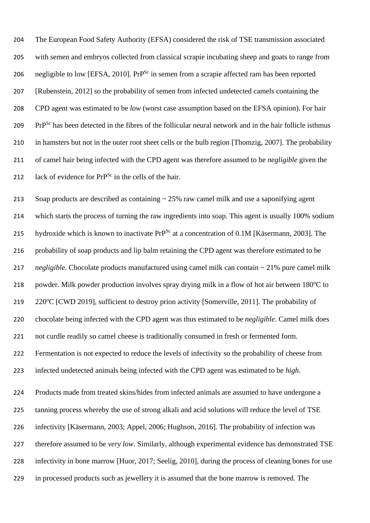The European Food Safety Authority (EFSA) considered the risk of TSE transmission associated with semen and embryos collected from classical scrapie incubating sheep and goats to range from 206 negligible to low [EFSA, 2010]. Pr $P^{Sc}$  in semen from a scrapie affected ram has been reported [Rubenstein, 2012] so the probability of semen from infected undetected camels containing the CPD agent was estimated to be *low* (worst case assumption based on the EFSA opinion). For hair 209 PrP<sup>Sc</sup> has been detected in the fibres of the follicular neural network and in the hair follicle isthmus in hamsters but not in the outer root sheet cells or the bulb region [Thomzig, 2007]. The probability of camel hair being infected with the CPD agent was therefore assumed to be *negligible* given the 212 lack of evidence for  $PrP^{Sc}$  in the cells of the hair.

 Soap products are described as containing ~ 25% raw camel milk and use a saponifying agent which starts the process of turning the raw ingredients into soap. This agent is usually 100% sodium 215 hydroxide which is known to inactivate  $PrP^{Sc}$  at a concentration of 0.1M [Käsermann, 2003]. The probability of soap products and lip balm retaining the CPD agent was therefore estimated to be *negligible*. Chocolate products manufactured using camel milk can contain ~ 21% pure camel milk 218 powder. Milk powder production involves spray drying milk in a flow of hot air between 180°C to 219 220°C [CWD 2019], sufficient to destroy prion activity [Somerville, 2011]. The probability of chocolate being infected with the CPD agent was thus estimated to be *negligible*. Camel milk does not curdle readily so camel cheese is traditionally consumed in fresh or fermented form. Fermentation is not expected to reduce the levels of infectivity so the probability of cheese from infected undetected animals being infected with the CPD agent was estimated to be *high*. Products made from treated skins/hides from infected animals are assumed to have undergone a tanning process whereby the use of strong alkali and acid solutions will reduce the level of TSE infectivity [Käsermann, 2003; Appel, 2006; Hughson, 2016]. The probability of infection was therefore assumed to be *very low*. Similarly, although experimental evidence has demonstrated TSE infectivity in bone marrow [Huor, 2017; Seelig, 2010], during the process of cleaning bones for use in processed products such as jewellery it is assumed that the bone marrow is removed. The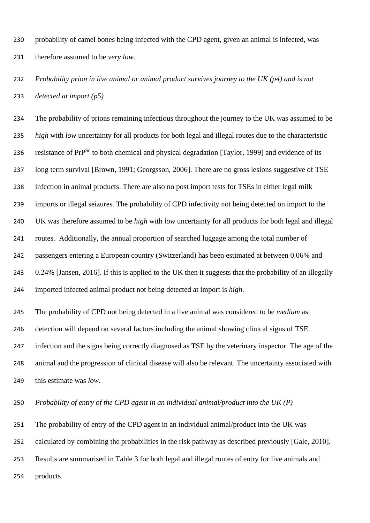probability of camel bones being infected with the CPD agent, given an animal is infected, was therefore assumed to be *very low*.

 *Probability prion in live animal or animal product survives journey to the UK (p4) and is not detected at import (p5)*

 The probability of prions remaining infectious throughout the journey to the UK was assumed to be *high* with *low* uncertainty for all products for both legal and illegal routes due to the characteristic 236 resistance of  $PrP^{Sc}$  to both chemical and physical degradation [Taylor, 1999] and evidence of its long term survival [Brown, 1991; Georgsson, 2006]. There are no gross lesions suggestive of TSE infection in animal products. There are also no post import tests for TSEs in either legal milk imports or illegal seizures. The probability of CPD infectivity not being detected on import to the UK was therefore assumed to be *high* with *low* uncertainty for all products for both legal and illegal routes. Additionally, the annual proportion of searched luggage among the total number of passengers entering a European country (Switzerland) has been estimated at between 0.06% and 0.24% [Jansen, 2016]. If this is applied to the UK then it suggests that the probability of an illegally imported infected animal product not being detected at import is *high*. The probability of CPD not being detected in a live animal was considered to be *medium* as

 detection will depend on several factors including the animal showing clinical signs of TSE infection and the signs being correctly diagnosed as TSE by the veterinary inspector. The age of the animal and the progression of clinical disease will also be relevant. The uncertainty associated with this estimate was *low*.

*Probability of entry of the CPD agent in an individual animal/product into the UK (P)*

 The probability of entry of the CPD agent in an individual animal/product into the UK was calculated by combining the probabilities in the risk pathway as described previously [Gale, 2010].

Results are summarised in Table 3 for both legal and illegal routes of entry for live animals and

254 products.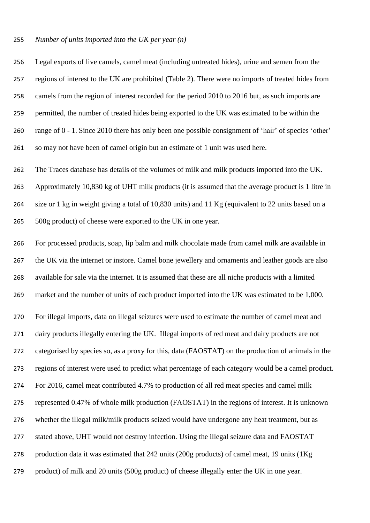#### *Number of units imported into the UK per year (n)*

 Legal exports of live camels, camel meat (including untreated hides), urine and semen from the regions of interest to the UK are prohibited (Table 2). There were no imports of treated hides from camels from the region of interest recorded for the period 2010 to 2016 but, as such imports are permitted, the number of treated hides being exported to the UK was estimated to be within the range of 0 - 1. Since 2010 there has only been one possible consignment of 'hair' of species 'other' so may not have been of camel origin but an estimate of 1 unit was used here.

 The Traces database has details of the volumes of milk and milk products imported into the UK. Approximately 10,830 kg of UHT milk products (it is assumed that the average product is 1 litre in size or 1 kg in weight giving a total of 10,830 units) and 11 Kg (equivalent to 22 units based on a 500g product) of cheese were exported to the UK in one year.

 For processed products, soap, lip balm and milk chocolate made from camel milk are available in the UK via the internet or instore. Camel bone jewellery and ornaments and leather goods are also available for sale via the internet. It is assumed that these are all niche products with a limited market and the number of units of each product imported into the UK was estimated to be 1,000. For illegal imports, data on illegal seizures were used to estimate the number of camel meat and dairy products illegally entering the UK. Illegal imports of red meat and dairy products are not categorised by species so, as a proxy for this, data (FAOSTAT) on the production of animals in the regions of interest were used to predict what percentage of each category would be a camel product. For 2016, camel meat contributed 4.7% to production of all red meat species and camel milk represented 0.47% of whole milk production (FAOSTAT) in the regions of interest. It is unknown whether the illegal milk/milk products seized would have undergone any heat treatment, but as stated above, UHT would not destroy infection. Using the illegal seizure data and FAOSTAT production data it was estimated that 242 units (200g products) of camel meat, 19 units (1Kg product) of milk and 20 units (500g product) of cheese illegally enter the UK in one year.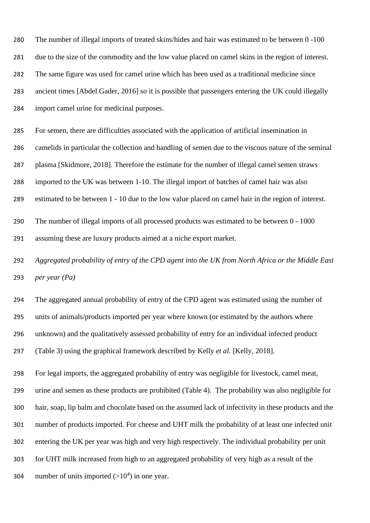The number of illegal imports of treated skins/hides and hair was estimated to be between 0 -100 due to the size of the commodity and the low value placed on camel skins in the region of interest. The same figure was used for camel urine which has been used as a traditional medicine since ancient times [Abdel Gader, 2016] so it is possible that passengers entering the UK could illegally import camel urine for medicinal purposes.

 For semen, there are difficulties associated with the application of artificial insemination in camelids in particular the collection and handling of semen due to the viscous nature of the seminal plasma [Skidmore, 2018]. Therefore the estimate for the number of illegal camel semen straws imported to the UK was between 1-10. The illegal import of batches of camel hair was also

estimated to be between 1 - 10 due to the low value placed on camel hair in the region of interest.

 The number of illegal imports of all processed products was estimated to be between 0 - 1000 assuming these are luxury products aimed at a niche export market.

 *Aggregated probability of entry of the CPD agent into the UK from North Africa or the Middle East per year (Pa)*

 The aggregated annual probability of entry of the CPD agent was estimated using the number of units of animals/products imported per year where known (or estimated by the authors where unknown) and the qualitatively assessed probability of entry for an individual infected product (Table 3) using the graphical framework described by Kelly *et al*. [Kelly, 2018].

 For legal imports, the aggregated probability of entry was negligible for livestock, camel meat, urine and semen as these products are prohibited (Table 4). The probability was also negligible for hair, soap, lip balm and chocolate based on the assumed lack of infectivity in these products and the number of products imported. For cheese and UHT milk the probability of at least one infected unit entering the UK per year was high and very high respectively. The individual probability per unit for UHT milk increased from high to an aggregated probability of very high as a result of the 304 number of units imported  $(>10<sup>4</sup>)$  in one year.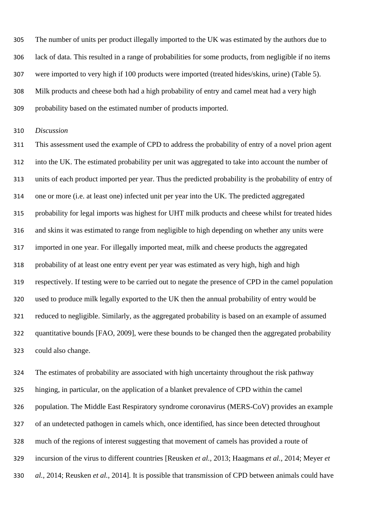The number of units per product illegally imported to the UK was estimated by the authors due to lack of data. This resulted in a range of probabilities for some products, from negligible if no items were imported to very high if 100 products were imported (treated hides/skins, urine) (Table 5). Milk products and cheese both had a high probability of entry and camel meat had a very high probability based on the estimated number of products imported.

*Discussion*

 This assessment used the example of CPD to address the probability of entry of a novel prion agent into the UK. The estimated probability per unit was aggregated to take into account the number of units of each product imported per year. Thus the predicted probability is the probability of entry of one or more (i.e. at least one) infected unit per year into the UK. The predicted aggregated probability for legal imports was highest for UHT milk products and cheese whilst for treated hides and skins it was estimated to range from negligible to high depending on whether any units were imported in one year. For illegally imported meat, milk and cheese products the aggregated probability of at least one entry event per year was estimated as very high, high and high respectively. If testing were to be carried out to negate the presence of CPD in the camel population used to produce milk legally exported to the UK then the annual probability of entry would be reduced to negligible. Similarly, as the aggregated probability is based on an example of assumed quantitative bounds [FAO, 2009], were these bounds to be changed then the aggregated probability could also change.

 The estimates of probability are associated with high uncertainty throughout the risk pathway hinging, in particular, on the application of a blanket prevalence of CPD within the camel population. The Middle East Respiratory syndrome coronavirus (MERS-CoV) provides an example of an undetected pathogen in camels which, once identified, has since been detected throughout much of the regions of interest suggesting that movement of camels has provided a route of incursion of the virus to different countries [Reusken *et al.,* 2013; Haagmans *et al.,* 2014; Meyer *et al.,* 2014; Reusken *et al.,* 2014]. It is possible that transmission of CPD between animals could have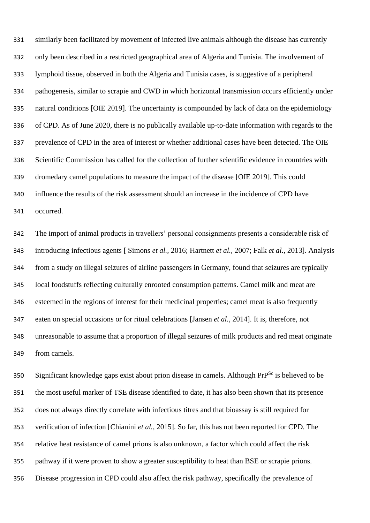similarly been facilitated by movement of infected live animals although the disease has currently only been described in a restricted geographical area of Algeria and Tunisia. The involvement of lymphoid tissue, observed in both the Algeria and Tunisia cases, is suggestive of a peripheral pathogenesis, similar to scrapie and CWD in which horizontal transmission occurs efficiently under natural conditions [OIE 2019]. The uncertainty is compounded by lack of data on the epidemiology of CPD. As of June 2020, there is no publically available up-to-date information with regards to the prevalence of CPD in the area of interest or whether additional cases have been detected. The OIE Scientific Commission has called for the collection of further scientific evidence in countries with dromedary camel populations to measure the impact of the disease [OIE 2019]. This could influence the results of the risk assessment should an increase in the incidence of CPD have occurred.

 The import of animal products in travellers' personal consignments presents a considerable risk of introducing infectious agents [ Simons *et al.,* 2016; Hartnett *et al.,* 2007; Falk *et al.,* 2013]. Analysis from a study on illegal seizures of airline passengers in Germany, found that seizures are typically local foodstuffs reflecting culturally enrooted consumption patterns. Camel milk and meat are esteemed in the regions of interest for their medicinal properties; camel meat is also frequently eaten on special occasions or for ritual celebrations [Jansen *et al.,* 2014]. It is, therefore, not unreasonable to assume that a proportion of illegal seizures of milk products and red meat originate from camels.

Significant knowledge gaps exist about prion disease in camels. Although  $PrP^{Sc}$  is believed to be the most useful marker of TSE disease identified to date, it has also been shown that its presence does not always directly correlate with infectious titres and that bioassay is still required for verification of infection [Chianini *et al.,* 2015]. So far, this has not been reported for CPD. The relative heat resistance of camel prions is also unknown, a factor which could affect the risk pathway if it were proven to show a greater susceptibility to heat than BSE or scrapie prions. Disease progression in CPD could also affect the risk pathway, specifically the prevalence of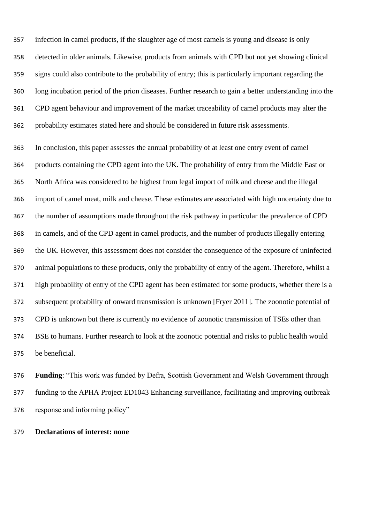infection in camel products, if the slaughter age of most camels is young and disease is only detected in older animals. Likewise, products from animals with CPD but not yet showing clinical signs could also contribute to the probability of entry; this is particularly important regarding the long incubation period of the prion diseases. Further research to gain a better understanding into the CPD agent behaviour and improvement of the market traceability of camel products may alter the probability estimates stated here and should be considered in future risk assessments.

 In conclusion, this paper assesses the annual probability of at least one entry event of camel products containing the CPD agent into the UK. The probability of entry from the Middle East or North Africa was considered to be highest from legal import of milk and cheese and the illegal import of camel meat, milk and cheese. These estimates are associated with high uncertainty due to the number of assumptions made throughout the risk pathway in particular the prevalence of CPD in camels, and of the CPD agent in camel products, and the number of products illegally entering the UK. However, this assessment does not consider the consequence of the exposure of uninfected animal populations to these products, only the probability of entry of the agent. Therefore, whilst a high probability of entry of the CPD agent has been estimated for some products, whether there is a subsequent probability of onward transmission is unknown [Fryer 2011]. The zoonotic potential of CPD is unknown but there is currently no evidence of zoonotic transmission of TSEs other than BSE to humans. Further research to look at the zoonotic potential and risks to public health would be beneficial.

 **Funding**: "This work was funded by Defra, Scottish Government and Welsh Government through funding to the APHA Project ED1043 Enhancing surveillance, facilitating and improving outbreak response and informing policy"

**Declarations of interest: none**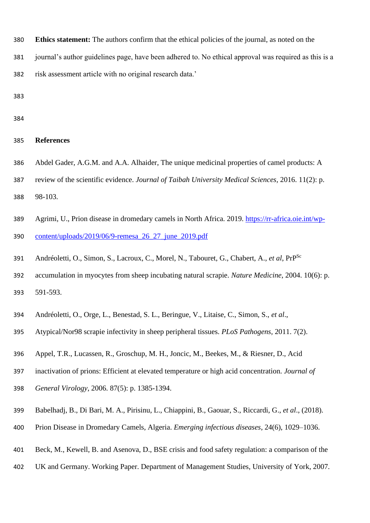- **Ethics statement:** The authors confirm that the ethical policies of the journal, as noted on the
- journal's author guidelines page, have been adhered to. No ethical approval was required as this is a risk assessment article with no original research data.'

- **References**
- Abdel Gader, A.G.M. and A.A. Alhaider, The unique medicinal properties of camel products: A
- review of the scientific evidence. *Journal of Taibah University Medical Sciences,* 2016. 11(2): p.

98-103.

- Agrimi, U., Prion disease in dromedary camels in North Africa. 2019. [https://rr-africa.oie.int/wp-](https://rr-africa.oie.int/wp-content/uploads/2019/06/9-remesa_26_27_june_2019.pdf)[content/uploads/2019/06/9-remesa\\_26\\_27\\_june\\_2019.pdf](https://rr-africa.oie.int/wp-content/uploads/2019/06/9-remesa_26_27_june_2019.pdf)
- Andréoletti, O., Simon, S., Lacroux, C., Morel, N., Tabouret, G., Chabert, A., *et al*, PrPSc
- accumulation in myocytes from sheep incubating natural scrapie. *Nature Medicine*, 2004. 10(6): p. 591-593.
- Andréoletti, O., Orge, L., Benestad, S. L., Beringue, V., Litaise, C., Simon, S., *et al*.,
- Atypical/Nor98 scrapie infectivity in sheep peripheral tissues. *PLoS Pathogens,* 2011. 7(2).
- Appel, T.R., Lucassen, R., Groschup, M. H., Joncic, M., Beekes, M., & Riesner, D., Acid
- inactivation of prions: Efficient at elevated temperature or high acid concentration. *Journal of*
- *General Virology*, 2006. 87(5): p. 1385-1394.
- Babelhadj, B., Di Bari, M. A., Pirisinu, L., Chiappini, B., Gaouar, S., Riccardi, G., *et al*., (2018).
- Prion Disease in Dromedary Camels, Algeria. *Emerging infectious diseases*, 24(6), 1029–1036.
- Beck, M., Kewell, B. and Asenova, D., BSE crisis and food safety regulation: a comparison of the
- UK and Germany. Working Paper. Department of Management Studies, University of York, 2007.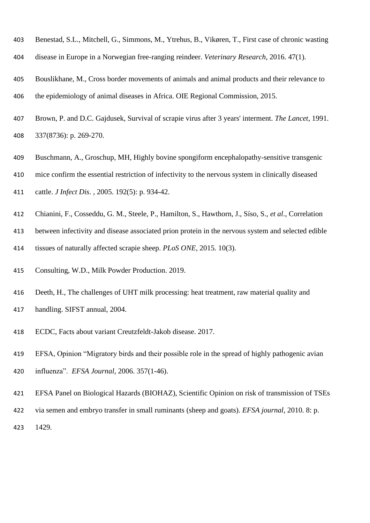- Benestad, S.L., Mitchell, G., Simmons, M., Ytrehus, B., Vikøren, T., First case of chronic wasting
- disease in Europe in a Norwegian free-ranging reindeer. *Veterinary Research*, 2016. 47(1).
- Bouslikhane, M., Cross border movements of animals and animal products and their relevance to the epidemiology of animal diseases in Africa. OIE Regional Commission, 2015.
- Brown, P. and D.C. Gajdusek, Survival of scrapie virus after 3 years' interment. *The Lancet*, 1991. 337(8736): p. 269-270.
- Buschmann, A., Groschup, MH, Highly bovine spongiform encephalopathy-sensitive transgenic
- mice confirm the essential restriction of infectivity to the nervous system in clinically diseased
- cattle. *J Infect Dis*. , 2005. 192(5): p. 934-42.
- Chianini, F., Cosseddu, G. M., Steele, P., Hamilton, S., Hawthorn, J., Síso, S., *et al*., Correlation
- between infectivity and disease associated prion protein in the nervous system and selected edible
- tissues of naturally affected scrapie sheep. *PLoS ONE*, 2015. 10(3).
- Consulting, W.D., Milk Powder Production. 2019.
- Deeth, H., The challenges of UHT milk processing: heat treatment, raw material quality and handling. SIFST annual, 2004.
- ECDC, Facts about variant Creutzfeldt-Jakob disease. 2017.
- EFSA, Opinion "Migratory birds and their possible role in the spread of highly pathogenic avian influenza". *EFSA Journal*, 2006. 357(1-46).
- EFSA Panel on Biological Hazards (BIOHAZ), Scientific Opinion on risk of transmission of TSEs via semen and embryo transfer in small ruminants (sheep and goats). *EFSA journal*, 2010. 8: p.
- 1429.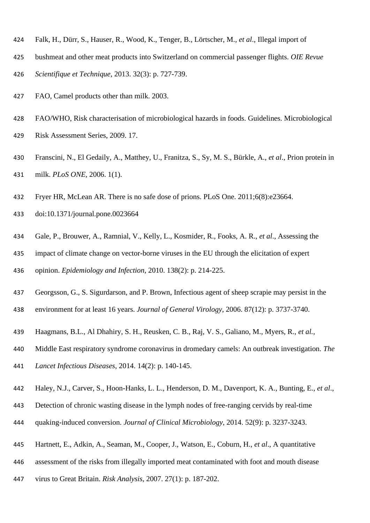- Falk, H., Dürr, S., Hauser, R., Wood, K., Tenger, B., Lörtscher, M., *et al*., Illegal import of
- bushmeat and other meat products into Switzerland on commercial passenger flights. *OIE Revue*
- *Scientifique et Technique*, 2013. 32(3): p. 727-739.
- FAO, Camel products other than milk. 2003.
- FAO/WHO, Risk characterisation of microbiological hazards in foods. Guidelines. Microbiological
- Risk Assessment Series, 2009. 17.
- Franscini, N., El Gedaily, A., Matthey, U., Franitza, S., Sy, M. S., Bürkle, A., *et al*., Prion protein in milk. *PLoS ONE*, 2006. 1(1).
- Fryer HR, McLean AR. There is no safe dose of prions. PLoS One. 2011;6(8):e23664.
- doi:10.1371/journal.pone.0023664
- Gale, P., Brouwer, A., Ramnial, V., Kelly, L., Kosmider, R., Fooks, A. R., *et al*., Assessing the
- impact of climate change on vector-borne viruses in the EU through the elicitation of expert
- opinion. *Epidemiology and Infection*, 2010. 138(2): p. 214-225.
- Georgsson, G., S. Sigurdarson, and P. Brown, Infectious agent of sheep scrapie may persist in the
- environment for at least 16 years. *Journal of General Virology*, 2006. 87(12): p. 3737-3740.
- Haagmans, B.L., Al Dhahiry, S. H., Reusken, C. B., Raj, V. S., Galiano, M., Myers, R., *et al.,*
- Middle East respiratory syndrome coronavirus in dromedary camels: An outbreak investigation. *The*
- *Lancet Infectious Diseases*, 2014. 14(2): p. 140-145.
- Haley, N.J., Carver, S., Hoon-Hanks, L. L., Henderson, D. M., Davenport, K. A., Bunting, E., *et al*.,
- Detection of chronic wasting disease in the lymph nodes of free-ranging cervids by real-time
- quaking-induced conversion. *Journal of Clinical Microbiology*, 2014. 52(9): p. 3237-3243.
- Hartnett, E., Adkin, A., Seaman, M., Cooper, J., Watson, E., Coburn, H., *et al*., A quantitative
- assessment of the risks from illegally imported meat contaminated with foot and mouth disease
- virus to Great Britain. *Risk Analysis*, 2007. 27(1): p. 187-202.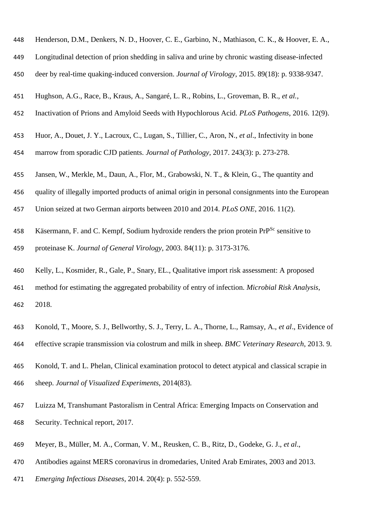| 448 | Henderson, D.M., Denkers, N. D., Hoover, C. E., Garbino, N., Mathiason, C. K., & Hoover, E. A.,        |
|-----|--------------------------------------------------------------------------------------------------------|
| 449 | Longitudinal detection of prion shedding in saliva and urine by chronic wasting disease-infected       |
| 450 | deer by real-time quaking-induced conversion. Journal of Virology, 2015. 89(18): p. 9338-9347.         |
| 451 | Hughson, A.G., Race, B., Kraus, A., Sangaré, L. R., Robins, L., Groveman, B. R., et al.,               |
| 452 | Inactivation of Prions and Amyloid Seeds with Hypochlorous Acid. PLoS Pathogens, 2016. 12(9).          |
| 453 | Huor, A., Douet, J. Y., Lacroux, C., Lugan, S., Tillier, C., Aron, N., et al., Infectivity in bone     |
| 454 | marrow from sporadic CJD patients. Journal of Pathology, 2017. 243(3): p. 273-278.                     |
| 455 | Jansen, W., Merkle, M., Daun, A., Flor, M., Grabowski, N. T., & Klein, G., The quantity and            |
| 456 | quality of illegally imported products of animal origin in personal consignments into the European     |
| 457 | Union seized at two German airports between 2010 and 2014. PLoS ONE, 2016. 11(2).                      |
| 458 | Käsermann, F. and C. Kempf, Sodium hydroxide renders the prion protein PrP <sup>Sc</sup> sensitive to  |
| 459 | proteinase K. Journal of General Virology, 2003. 84(11): p. 3173-3176.                                 |
| 460 | Kelly, L., Kosmider, R., Gale, P., Snary, EL., Qualitative import risk assessment: A proposed          |
| 461 | method for estimating the aggregated probability of entry of infection. Microbial Risk Analysis,       |
| 462 | 2018.                                                                                                  |
| 463 | Konold, T., Moore, S. J., Bellworthy, S. J., Terry, L. A., Thorne, L., Ramsay, A., et al., Evidence of |
| 464 | effective scrapie transmission via colostrum and milk in sheep. BMC Veterinary Research, 2013. 9.      |
| 465 | Konold, T. and L. Phelan, Clinical examination protocol to detect atypical and classical scrapie in    |
| 466 | sheep. Journal of Visualized Experiments, 2014(83).                                                    |
| 467 | Luizza M, Transhumant Pastoralism in Central Africa: Emerging Impacts on Conservation and              |
| 468 | Security. Technical report, 2017.                                                                      |

- Meyer, B., Müller, M. A., Corman, V. M., Reusken, C. B., Ritz, D., Godeke, G. J., *et al*.,
- Antibodies against MERS coronavirus in dromedaries, United Arab Emirates, 2003 and 2013.
- *Emerging Infectious Diseases*, 2014. 20(4): p. 552-559.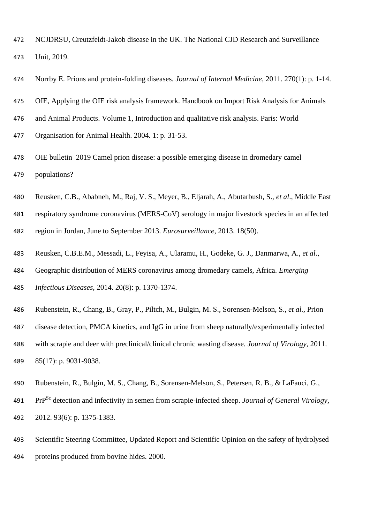- NCJDRSU, Creutzfeldt-Jakob disease in the UK. The National CJD Research and Surveillance Unit, 2019.
- Norrby E. Prions and protein-folding diseases. *Journal of Internal Medicine*, 2011. 270(1): p. 1-14.
- OIE, Applying the OIE risk analysis framework. Handbook on Import Risk Analysis for Animals
- and Animal Products. Volume 1, Introduction and qualitative risk analysis. Paris: World
- Organisation for Animal Health. 2004. 1: p. 31-53.
- OIE bulletin 2019 Camel prion disease: a possible emerging disease in dromedary camel populations?
- Reusken, C.B., Ababneh, M., Raj, V. S., Meyer, B., Eljarah, A., Abutarbush, S., *et al*., Middle East
- respiratory syndrome coronavirus (MERS-CoV) serology in major livestock species in an affected
- region in Jordan, June to September 2013. *Eurosurveillance*, 2013. 18(50).
- Reusken, C.B.E.M., Messadi, L., Feyisa, A., Ularamu, H., Godeke, G. J., Danmarwa, A., *et al*.,
- Geographic distribution of MERS coronavirus among dromedary camels, Africa. *Emerging*
- *Infectious Diseases*, 2014. 20(8): p. 1370-1374.
- Rubenstein, R., Chang, B., Gray, P., Piltch, M., Bulgin, M. S., Sorensen-Melson, S., *et al.,* Prion
- disease detection, PMCA kinetics, and IgG in urine from sheep naturally/experimentally infected
- with scrapie and deer with preclinical/clinical chronic wasting disease. *Journal of Virology*, 2011. 85(17): p. 9031-9038.
- Rubenstein, R., Bulgin, M. S., Chang, B., Sorensen-Melson, S., Petersen, R. B., & LaFauci, G.,
- PrPSc detection and infectivity in semen from scrapie-infected sheep. *Journal of General Virology*, 2012. 93(6): p. 1375-1383.
- Scientific Steering Committee, Updated Report and Scientific Opinion on the safety of hydrolysed proteins produced from bovine hides. 2000.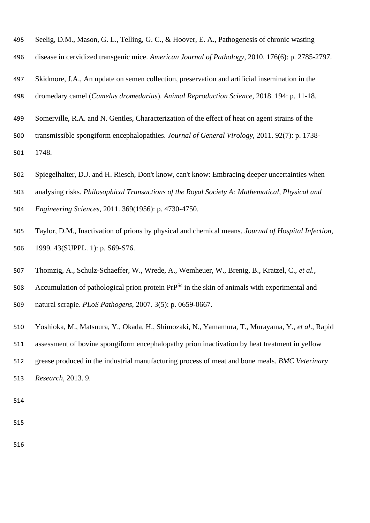- Seelig, D.M., Mason, G. L., Telling, G. C., & Hoover, E. A., Pathogenesis of chronic wasting
- disease in cervidized transgenic mice. *American Journal of Pathology*, 2010. 176(6): p. 2785-2797.
- Skidmore, J.A., An update on semen collection, preservation and artificial insemination in the
- dromedary camel (*Camelus dromedarius*). *Animal Reproduction Science*, 2018. 194: p. 11-18.
- Somerville, R.A. and N. Gentles, Characterization of the effect of heat on agent strains of the
- transmissible spongiform encephalopathies. *Journal of General Virology*, 2011. 92(7): p. 1738-
- 1748.
- Spiegelhalter, D.J. and H. Riesch, Don't know, can't know: Embracing deeper uncertainties when
- analysing risks. *Philosophical Transactions of the Royal Society A: Mathematical, Physical and*
- *Engineering Sciences*, 2011. 369(1956): p. 4730-4750.
- Taylor, D.M., Inactivation of prions by physical and chemical means. *Journal of Hospital Infection,* 1999. 43(SUPPL. 1): p. S69-S76.
- Thomzig, A., Schulz-Schaeffer, W., Wrede, A., Wemheuer, W., Brenig, B., Kratzel, C., *et al.*,
- 508 Accumulation of pathological prion protein  $Pr^{Sc}$  in the skin of animals with experimental and natural scrapie. *PLoS Pathogens*, 2007. 3(5): p. 0659-0667.
- 
- Yoshioka, M., Matsuura, Y., Okada, H., Shimozaki, N., Yamamura, T., Murayama, Y., *et al*., Rapid
- assessment of bovine spongiform encephalopathy prion inactivation by heat treatment in yellow
- grease produced in the industrial manufacturing process of meat and bone meals. *BMC Veterinary*
- *Research*, 2013. 9.
- 
- 
-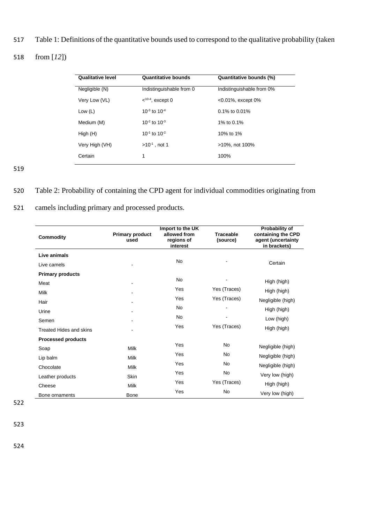517 Table 1: Definitions of the quantitative bounds used to correspond to the qualitative probability (taken

## 518 from [*12*])

| <b>Qualitative level</b> | <b>Quantitative bounds</b> | Quantitative bounds (%)   |  |  |  |  |
|--------------------------|----------------------------|---------------------------|--|--|--|--|
| Negligible (N)           | Indistinguishable from 0   | Indistinguishable from 0% |  |  |  |  |
| Very Low (VL)            | $10-4$ , except 0          | $< 0.01\%$ , except 0%    |  |  |  |  |
| Low $(L)$                | $10^{-3}$ to $10^{-4}$     | $0.1\%$ to 0.01%          |  |  |  |  |
| Medium (M)               | $10^{-2}$ to $10^{-3}$     | 1% to 0.1%                |  |  |  |  |
| High(H)                  | $10^{-1}$ to $10^{-2}$     | 10% to 1%                 |  |  |  |  |
| Very High (VH)           | $>10^{-1}$ , not 1         | >10%, not 100%            |  |  |  |  |
| Certain                  | 1                          | 100%                      |  |  |  |  |

519

### 520 Table 2: Probability of containing the CPD agent for individual commodities originating from

### 521 camels including primary and processed products.

| <b>Commodity</b>          | <b>Primary product</b><br>used | Import to the UK<br>allowed from<br>regions of<br>interest | <b>Traceable</b><br>(source) | Probability of<br>containing the CPD<br>agent (uncertainty<br>in brackets) |
|---------------------------|--------------------------------|------------------------------------------------------------|------------------------------|----------------------------------------------------------------------------|
| Live animals              |                                |                                                            |                              |                                                                            |
| Live camels               |                                | <b>No</b>                                                  |                              | Certain                                                                    |
| <b>Primary products</b>   |                                |                                                            |                              |                                                                            |
| Meat                      |                                | <b>No</b>                                                  |                              | High (high)                                                                |
| Milk                      |                                | Yes                                                        | Yes (Traces)                 | High (high)                                                                |
| Hair                      |                                | Yes                                                        | Yes (Traces)                 | Negligible (high)                                                          |
| Urine                     |                                | <b>No</b>                                                  |                              | High (high)                                                                |
| Semen                     |                                | No                                                         |                              | Low (high)                                                                 |
| Treated Hides and skins   |                                | Yes                                                        | Yes (Traces)                 | High (high)                                                                |
| <b>Processed products</b> |                                |                                                            |                              |                                                                            |
| Soap                      | <b>Milk</b>                    | Yes                                                        | <b>No</b>                    | Negligible (high)                                                          |
| Lip balm                  | <b>Milk</b>                    | Yes                                                        | No                           | Negligible (high)                                                          |
| Chocolate                 | Milk                           | Yes                                                        | <b>No</b>                    | Negligible (high)                                                          |
| Leather products          | <b>Skin</b>                    | Yes                                                        | <b>No</b>                    | Very low (high)                                                            |
| Cheese                    | <b>Milk</b>                    | Yes                                                        | Yes (Traces)                 | High (high)                                                                |
| Bone ornaments            | Bone                           | Yes                                                        | No                           | Very low (high)                                                            |

522

523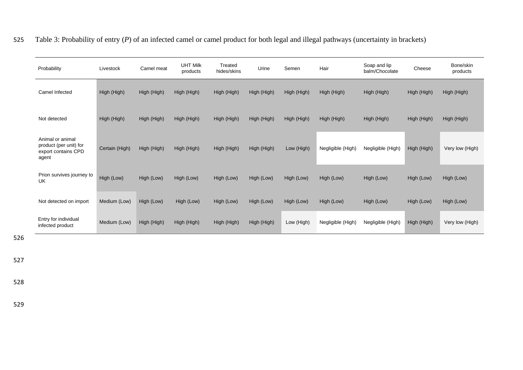|  | 525 Table 3: Probability of entry (P) of an infected camel or camel product for both legal and illegal pathways (uncertainty in brackets) |  |  |  |  |
|--|-------------------------------------------------------------------------------------------------------------------------------------------|--|--|--|--|
|--|-------------------------------------------------------------------------------------------------------------------------------------------|--|--|--|--|

| Probability                                                                | Livestock      | Camel meat  | <b>UHT Milk</b><br>products | Treated<br>hides/skins | Urine       | Semen       | Hair              | Soap and lip<br>balm/Chocolate | Cheese      | Bone/skin<br>products |
|----------------------------------------------------------------------------|----------------|-------------|-----------------------------|------------------------|-------------|-------------|-------------------|--------------------------------|-------------|-----------------------|
| Camel Infected                                                             | High (High)    | High (High) | High (High)                 | High (High)            | High (High) | High (High) | High (High)       | High (High)                    | High (High) | High (High)           |
| Not detected                                                               | High (High)    | High (High) | High (High)                 | High (High)            | High (High) | High (High) | High (High)       | High (High)                    | High (High) | High (High)           |
| Animal or animal<br>product (per unit) for<br>export contains CPD<br>agent | Certain (High) | High (High) | High (High)                 | High (High)            | High (High) | Low (High)  | Negligible (High) | Negligible (High)              | High (High) | Very low (High)       |
| Prion survives journey to<br><b>UK</b>                                     | High (Low)     | High (Low)  | High (Low)                  | High (Low)             | High (Low)  | High (Low)  | High (Low)        | High (Low)                     | High (Low)  | High (Low)            |
| Not detected on import                                                     | Medium (Low)   | High (Low)  | High (Low)                  | High (Low)             | High (Low)  | High (Low)  | High (Low)        | High (Low)                     | High (Low)  | High (Low)            |
| Entry for individual<br>infected product                                   | Medium (Low)   | High (High) | High (High)                 | High (High)            | High (High) | Low (High)  | Negligible (High) | Negligible (High)              | High (High) | Very low (High)       |

526

527

528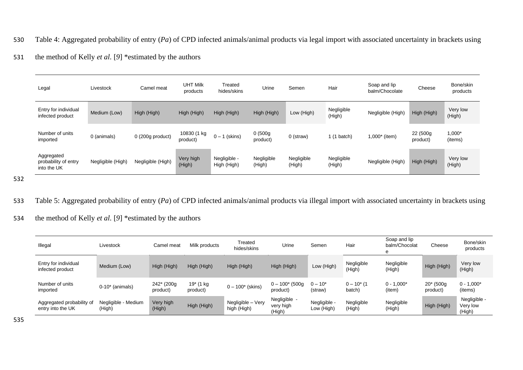- 530 Table 4: Aggregated probability of entry (*Pa*) of CPD infected animals/animal products via legal import with associated uncertainty in brackets using
- 531 the method of Kelly *et al.* [*9*] \*estimated by the authors

| Legal                                             | Livestock         | Camel meat        | <b>UHT Milk</b><br>products | Treated<br>hides/skins      | Urine                | Semen                | Hair                 | Soap and lip<br>balm/Chocolate | Cheese                | Bone/skin<br>products |
|---------------------------------------------------|-------------------|-------------------|-----------------------------|-----------------------------|----------------------|----------------------|----------------------|--------------------------------|-----------------------|-----------------------|
| Entry for individual<br>infected product          | Medium (Low)      | High (High)       | High (High)                 | High (High)                 | High (High)          | Low (High)           | Negligible<br>(High) | Negligible (High)              | High (High)           | Very low<br>(High)    |
| Number of units<br>imported                       | 0 (animals)       | $0(200g$ product) | 10830 (1 kg<br>product)     | $0 - 1$ (skins)             | 0(500g)<br>product)  | 0 (straw)            | $1(1)$ batch)        | $1,000*$ (item)                | 22 (500g)<br>product) | 1,000*<br>(items)     |
| Aggregated<br>probability of entry<br>into the UK | Negligible (High) | Negligible (High) | Very high<br>(High)         | Negligible -<br>High (High) | Negligible<br>(High) | Negligible<br>(High) | Negligible<br>(High) | Negligible (High)              | High (High)           | Very low<br>(High)    |

533 Table 5: Aggregated probability of entry (*Pa*) of CPD infected animals/animal products via illegal import with associated uncertainty in brackets using

534 the method of Kelly *et al.* [*9*] \*estimated by the authors

| Illegal                                        | Livestock                     | Camel meat                          | Milk products         | Treated<br>hides/skins           | Urine                               | Semen                      | Hair                      | Soap and lip<br>balm/Chocolat<br>е | Cheese                   | Bone/skin<br>products              |
|------------------------------------------------|-------------------------------|-------------------------------------|-----------------------|----------------------------------|-------------------------------------|----------------------------|---------------------------|------------------------------------|--------------------------|------------------------------------|
| Entry for individual<br>infected product       | Medium (Low)                  | High (High)                         | High (High)           | High (High)                      | High (High)                         | Low (High)                 | Negligible<br>(High)      | Negligible<br>(High)               | High (High)              | Very low<br>(High)                 |
| Number of units<br>imported                    | $0-10^*$ (animals)            | 242 <sup>*</sup> (200g)<br>product) | 19* (1 kg<br>product) | $0 - 100^*$ (skins)              | $0 - 100^*$ (500g)<br>product)      | $0 - 10*$<br>(straw)       | $0 - 10^{*}$ (1<br>batch) | $0 - 1,000*$<br>(item)             | $20*$ (500g)<br>product) | $0 - 1,000*$<br>(items)            |
| Aggregated probability of<br>entry into the UK | Negligible - Medium<br>(High) | Very high<br>(High)                 | High (High)           | Negligible - Very<br>high (High) | Negligible -<br>very high<br>(High) | Negligible -<br>Low (High) | Negligible<br>(High)      | Negligible<br>(High)               | High (High)              | Negligible -<br>Very low<br>(High) |